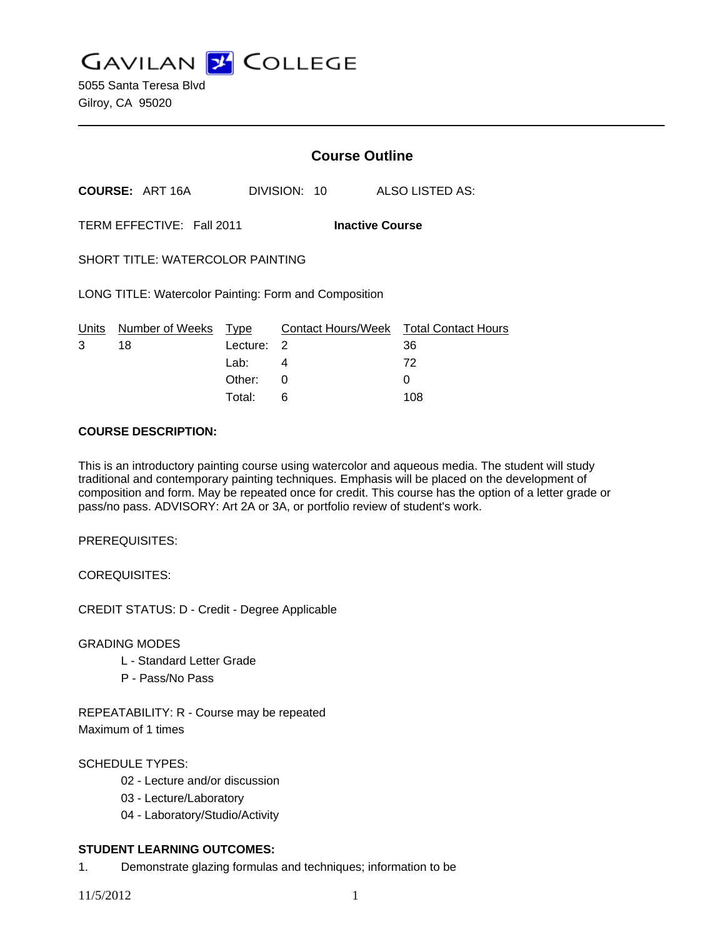**GAVILAN J COLLEGE** 

5055 Santa Teresa Blvd Gilroy, CA 95020

|   |                                                       | <b>Course Outline</b> |              |                                              |
|---|-------------------------------------------------------|-----------------------|--------------|----------------------------------------------|
|   | <b>COURSE: ART 16A</b>                                |                       | DIVISION: 10 | ALSO LISTED AS:                              |
|   | TERM EFFECTIVE: Fall 2011                             |                       |              | <b>Inactive Course</b>                       |
|   | <b>SHORT TITLE: WATERCOLOR PAINTING</b>               |                       |              |                                              |
|   | LONG TITLE: Watercolor Painting: Form and Composition |                       |              |                                              |
| 3 | Units Number of Weeks Type<br>18                      | Lecture: 2            |              | Contact Hours/Week Total Contact Hours<br>36 |
|   |                                                       | Lab: La               | 4            | 72                                           |
|   |                                                       | Other:                | $\Omega$     | 0                                            |
|   |                                                       | Total:                | 6            | 108                                          |

#### **COURSE DESCRIPTION:**

This is an introductory painting course using watercolor and aqueous media. The student will study traditional and contemporary painting techniques. Emphasis will be placed on the development of composition and form. May be repeated once for credit. This course has the option of a letter grade or pass/no pass. ADVISORY: Art 2A or 3A, or portfolio review of student's work.

PREREQUISITES:

COREQUISITES:

CREDIT STATUS: D - Credit - Degree Applicable

GRADING MODES

- L Standard Letter Grade
- P Pass/No Pass

REPEATABILITY: R - Course may be repeated Maximum of 1 times

# SCHEDULE TYPES:

- 02 Lecture and/or discussion
- 03 Lecture/Laboratory
- 04 Laboratory/Studio/Activity

## **STUDENT LEARNING OUTCOMES:**

1. Demonstrate glazing formulas and techniques; information to be

11/5/2012 1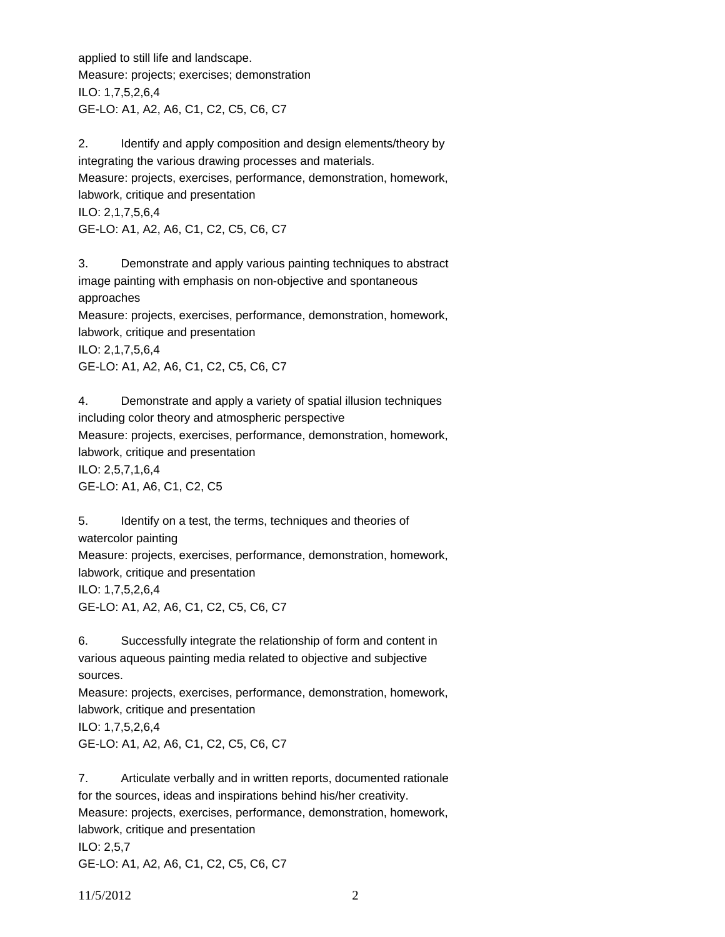applied to still life and landscape. Measure: projects; exercises; demonstration ILO: 1,7,5,2,6,4 GE-LO: A1, A2, A6, C1, C2, C5, C6, C7

2. Identify and apply composition and design elements/theory by integrating the various drawing processes and materials. Measure: projects, exercises, performance, demonstration, homework, labwork, critique and presentation ILO: 2,1,7,5,6,4 GE-LO: A1, A2, A6, C1, C2, C5, C6, C7

3. Demonstrate and apply various painting techniques to abstract image painting with emphasis on non-objective and spontaneous approaches Measure: projects, exercises, performance, demonstration, homework, labwork, critique and presentation ILO: 2,1,7,5,6,4 GE-LO: A1, A2, A6, C1, C2, C5, C6, C7

4. Demonstrate and apply a variety of spatial illusion techniques including color theory and atmospheric perspective Measure: projects, exercises, performance, demonstration, homework, labwork, critique and presentation ILO: 2,5,7,1,6,4 GE-LO: A1, A6, C1, C2, C5

5. Identify on a test, the terms, techniques and theories of watercolor painting Measure: projects, exercises, performance, demonstration, homework, labwork, critique and presentation ILO: 1,7,5,2,6,4 GE-LO: A1, A2, A6, C1, C2, C5, C6, C7

6. Successfully integrate the relationship of form and content in various aqueous painting media related to objective and subjective sources. Measure: projects, exercises, performance, demonstration, homework, labwork, critique and presentation ILO: 1,7,5,2,6,4

GE-LO: A1, A2, A6, C1, C2, C5, C6, C7

7. Articulate verbally and in written reports, documented rationale for the sources, ideas and inspirations behind his/her creativity. Measure: projects, exercises, performance, demonstration, homework, labwork, critique and presentation ILO: 2,5,7 GE-LO: A1, A2, A6, C1, C2, C5, C6, C7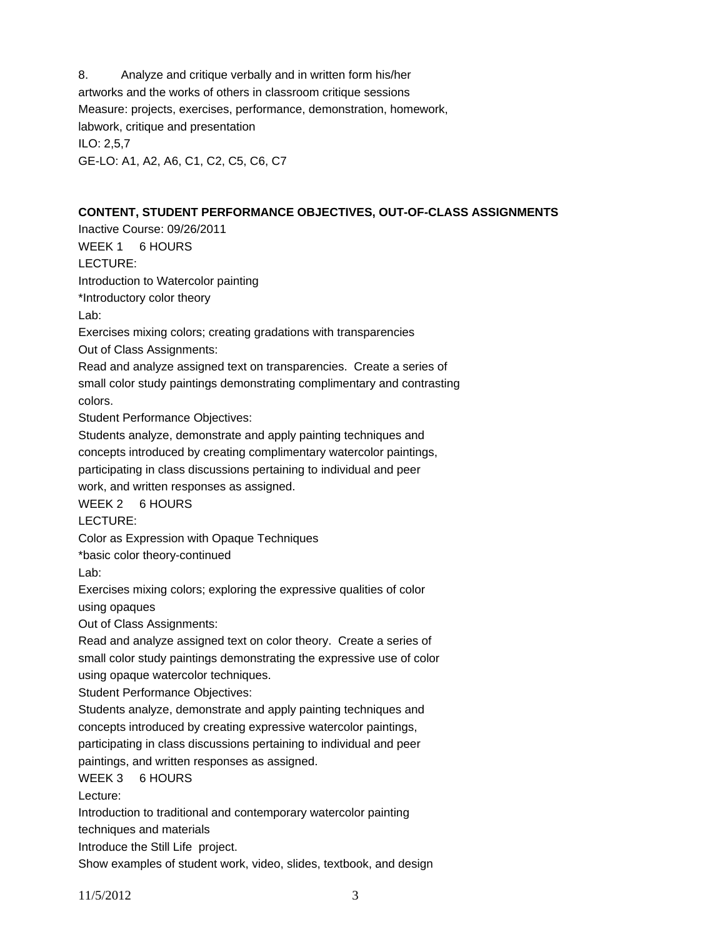8. Analyze and critique verbally and in written form his/her artworks and the works of others in classroom critique sessions Measure: projects, exercises, performance, demonstration, homework, labwork, critique and presentation ILO: 2,5,7 GE-LO: A1, A2, A6, C1, C2, C5, C6, C7

## **CONTENT, STUDENT PERFORMANCE OBJECTIVES, OUT-OF-CLASS ASSIGNMENTS**

Inactive Course: 09/26/2011 WEEK 1 6 HOURS LECTURE: Introduction to Watercolor painting \*Introductory color theory Lab: Exercises mixing colors; creating gradations with transparencies Out of Class Assignments: Read and analyze assigned text on transparencies. Create a series of small color study paintings demonstrating complimentary and contrasting colors. Student Performance Objectives: Students analyze, demonstrate and apply painting techniques and concepts introduced by creating complimentary watercolor paintings, participating in class discussions pertaining to individual and peer work, and written responses as assigned. WEEK 2 6 HOURS LECTURE: Color as Expression with Opaque Techniques \*basic color theory-continued Lab: Exercises mixing colors; exploring the expressive qualities of color using opaques Out of Class Assignments: Read and analyze assigned text on color theory. Create a series of small color study paintings demonstrating the expressive use of color using opaque watercolor techniques. Student Performance Objectives: Students analyze, demonstrate and apply painting techniques and concepts introduced by creating expressive watercolor paintings, participating in class discussions pertaining to individual and peer paintings, and written responses as assigned. WEEK 3 6 HOURS Lecture: Introduction to traditional and contemporary watercolor painting techniques and materials Introduce the Still Life project. Show examples of student work, video, slides, textbook, and design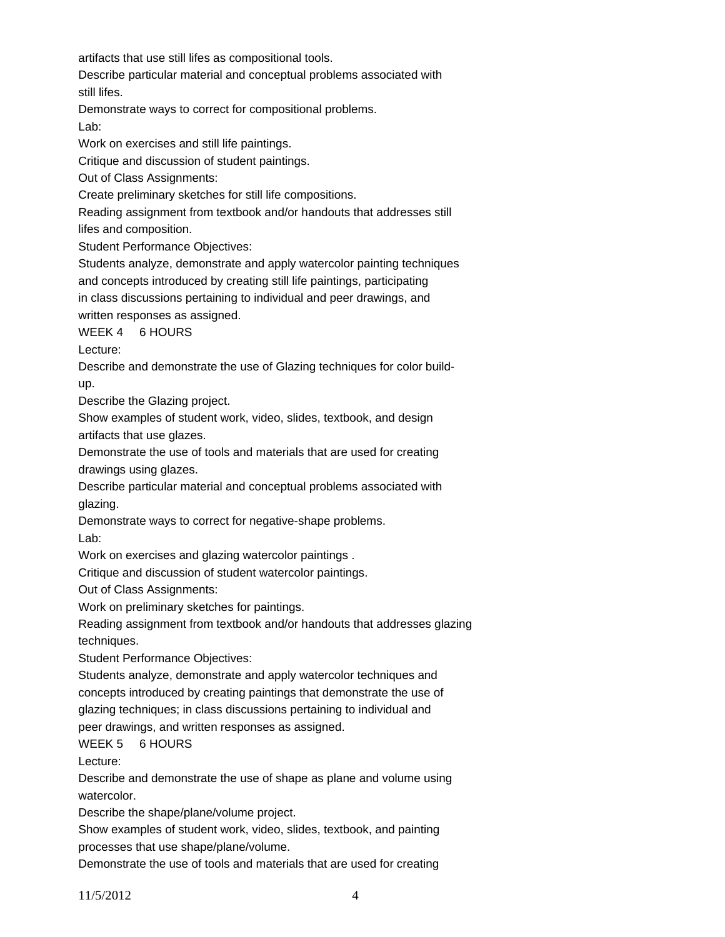artifacts that use still lifes as compositional tools.

Describe particular material and conceptual problems associated with

still lifes.

Demonstrate ways to correct for compositional problems.

Lab:

Work on exercises and still life paintings.

Critique and discussion of student paintings.

Out of Class Assignments:

Create preliminary sketches for still life compositions.

Reading assignment from textbook and/or handouts that addresses still lifes and composition.

Student Performance Objectives:

Students analyze, demonstrate and apply watercolor painting techniques

and concepts introduced by creating still life paintings, participating

in class discussions pertaining to individual and peer drawings, and written responses as assigned.

WEEK 4 6 HOURS

Lecture:

Describe and demonstrate the use of Glazing techniques for color buildup.

Describe the Glazing project.

Show examples of student work, video, slides, textbook, and design artifacts that use glazes.

Demonstrate the use of tools and materials that are used for creating drawings using glazes.

Describe particular material and conceptual problems associated with glazing.

Demonstrate ways to correct for negative-shape problems. Lab:

Work on exercises and glazing watercolor paintings .

Critique and discussion of student watercolor paintings.

Out of Class Assignments:

Work on preliminary sketches for paintings.

Reading assignment from textbook and/or handouts that addresses glazing techniques.

Student Performance Objectives:

Students analyze, demonstrate and apply watercolor techniques and concepts introduced by creating paintings that demonstrate the use of

glazing techniques; in class discussions pertaining to individual and

peer drawings, and written responses as assigned.

WEEK 5 6 HOURS

Lecture:

Describe and demonstrate the use of shape as plane and volume using watercolor.

Describe the shape/plane/volume project.

Show examples of student work, video, slides, textbook, and painting processes that use shape/plane/volume.

Demonstrate the use of tools and materials that are used for creating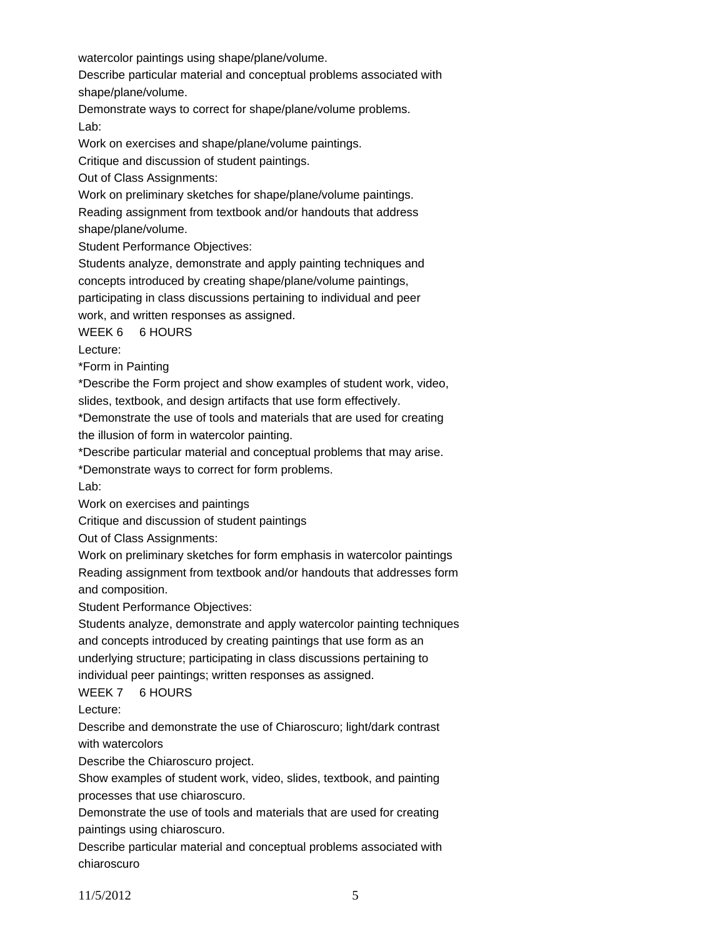watercolor paintings using shape/plane/volume.

Describe particular material and conceptual problems associated with shape/plane/volume.

Demonstrate ways to correct for shape/plane/volume problems. Lab:

Work on exercises and shape/plane/volume paintings.

Critique and discussion of student paintings.

Out of Class Assignments:

Work on preliminary sketches for shape/plane/volume paintings.

Reading assignment from textbook and/or handouts that address shape/plane/volume.

Student Performance Objectives:

Students analyze, demonstrate and apply painting techniques and concepts introduced by creating shape/plane/volume paintings,

participating in class discussions pertaining to individual and peer

work, and written responses as assigned.

WEEK 6 6 HOURS

Lecture:

\*Form in Painting

\*Describe the Form project and show examples of student work, video,

slides, textbook, and design artifacts that use form effectively.

\*Demonstrate the use of tools and materials that are used for creating the illusion of form in watercolor painting.

\*Describe particular material and conceptual problems that may arise.

\*Demonstrate ways to correct for form problems.

Lab:

Work on exercises and paintings

Critique and discussion of student paintings

Out of Class Assignments:

Work on preliminary sketches for form emphasis in watercolor paintings Reading assignment from textbook and/or handouts that addresses form and composition.

Student Performance Objectives:

Students analyze, demonstrate and apply watercolor painting techniques and concepts introduced by creating paintings that use form as an underlying structure; participating in class discussions pertaining to individual peer paintings; written responses as assigned.

# WEEK 7 6 HOURS

Lecture:

Describe and demonstrate the use of Chiaroscuro; light/dark contrast with watercolors

Describe the Chiaroscuro project.

Show examples of student work, video, slides, textbook, and painting processes that use chiaroscuro.

Demonstrate the use of tools and materials that are used for creating paintings using chiaroscuro.

Describe particular material and conceptual problems associated with chiaroscuro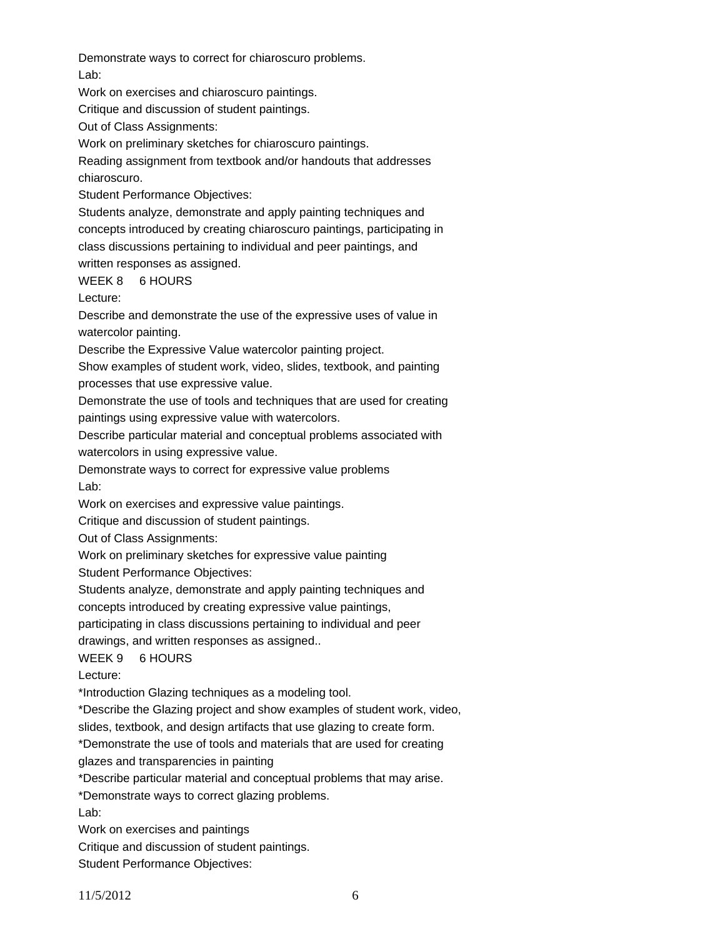Demonstrate ways to correct for chiaroscuro problems. Lab:

Work on exercises and chiaroscuro paintings.

Critique and discussion of student paintings.

Out of Class Assignments:

Work on preliminary sketches for chiaroscuro paintings.

Reading assignment from textbook and/or handouts that addresses chiaroscuro.

Student Performance Objectives:

Students analyze, demonstrate and apply painting techniques and concepts introduced by creating chiaroscuro paintings, participating in class discussions pertaining to individual and peer paintings, and written responses as assigned.

## WEEK 8 6 HOURS

Lecture:

Describe and demonstrate the use of the expressive uses of value in watercolor painting.

Describe the Expressive Value watercolor painting project.

Show examples of student work, video, slides, textbook, and painting processes that use expressive value.

Demonstrate the use of tools and techniques that are used for creating paintings using expressive value with watercolors.

Describe particular material and conceptual problems associated with watercolors in using expressive value.

Demonstrate ways to correct for expressive value problems Lab:

Work on exercises and expressive value paintings.

Critique and discussion of student paintings.

Out of Class Assignments:

Work on preliminary sketches for expressive value painting

Student Performance Objectives:

Students analyze, demonstrate and apply painting techniques and

concepts introduced by creating expressive value paintings,

participating in class discussions pertaining to individual and peer

drawings, and written responses as assigned..

WEEK 9 6 HOURS

Lecture:

\*Introduction Glazing techniques as a modeling tool.

\*Describe the Glazing project and show examples of student work, video,

slides, textbook, and design artifacts that use glazing to create form.

\*Demonstrate the use of tools and materials that are used for creating

glazes and transparencies in painting

\*Describe particular material and conceptual problems that may arise.

\*Demonstrate ways to correct glazing problems.

Lab:

Work on exercises and paintings

Critique and discussion of student paintings.

Student Performance Objectives: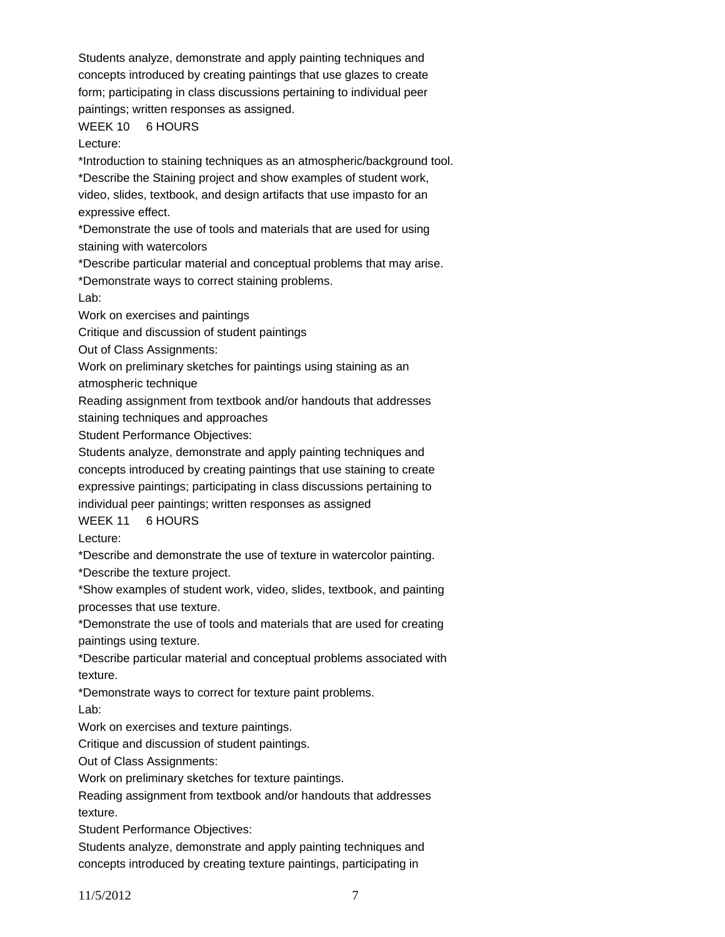Students analyze, demonstrate and apply painting techniques and concepts introduced by creating paintings that use glazes to create form; participating in class discussions pertaining to individual peer paintings; written responses as assigned.

# WEEK 10 6 HOURS

Lecture:

\*Introduction to staining techniques as an atmospheric/background tool.

\*Describe the Staining project and show examples of student work, video, slides, textbook, and design artifacts that use impasto for an expressive effect.

\*Demonstrate the use of tools and materials that are used for using staining with watercolors

\*Describe particular material and conceptual problems that may arise.

\*Demonstrate ways to correct staining problems.

Lab:

Work on exercises and paintings

Critique and discussion of student paintings

Out of Class Assignments:

Work on preliminary sketches for paintings using staining as an

atmospheric technique

Reading assignment from textbook and/or handouts that addresses

staining techniques and approaches

Student Performance Objectives:

Students analyze, demonstrate and apply painting techniques and concepts introduced by creating paintings that use staining to create expressive paintings; participating in class discussions pertaining to individual peer paintings; written responses as assigned

WEEK 11 6 HOURS

Lecture:

\*Describe and demonstrate the use of texture in watercolor painting.

\*Describe the texture project.

\*Show examples of student work, video, slides, textbook, and painting processes that use texture.

\*Demonstrate the use of tools and materials that are used for creating paintings using texture.

\*Describe particular material and conceptual problems associated with texture.

\*Demonstrate ways to correct for texture paint problems.

Lab:

Work on exercises and texture paintings.

Critique and discussion of student paintings.

Out of Class Assignments:

Work on preliminary sketches for texture paintings.

Reading assignment from textbook and/or handouts that addresses texture.

Student Performance Objectives:

Students analyze, demonstrate and apply painting techniques and concepts introduced by creating texture paintings, participating in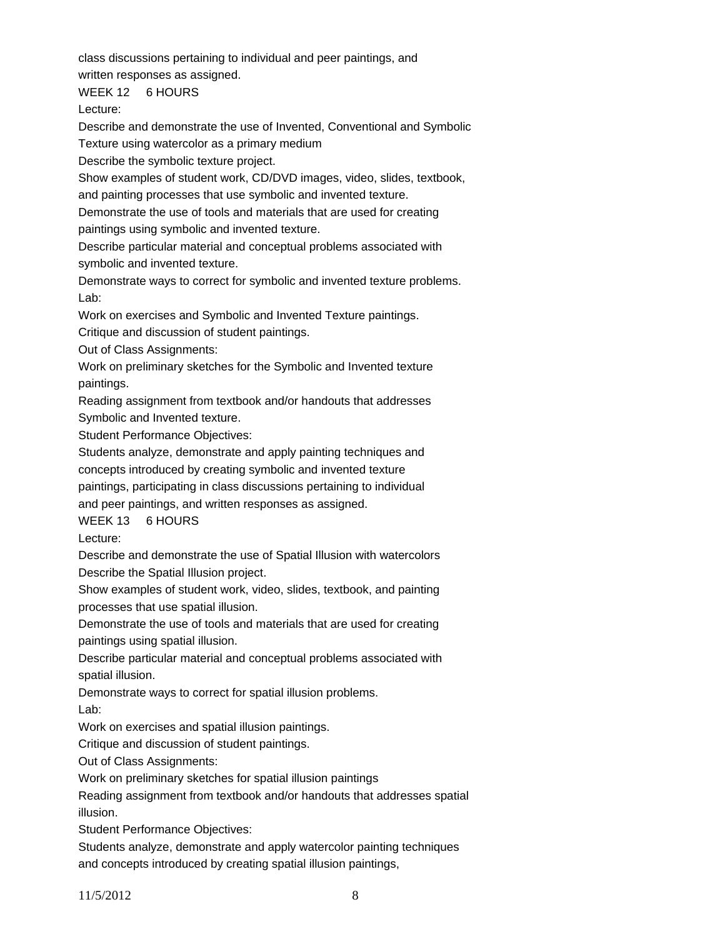class discussions pertaining to individual and peer paintings, and

written responses as assigned.

WEEK 12 6 HOURS

Lecture:

Describe and demonstrate the use of Invented, Conventional and Symbolic

Texture using watercolor as a primary medium

Describe the symbolic texture project.

Show examples of student work, CD/DVD images, video, slides, textbook,

and painting processes that use symbolic and invented texture.

Demonstrate the use of tools and materials that are used for creating paintings using symbolic and invented texture.

Describe particular material and conceptual problems associated with symbolic and invented texture.

Demonstrate ways to correct for symbolic and invented texture problems. Lab:

Work on exercises and Symbolic and Invented Texture paintings.

Critique and discussion of student paintings.

Out of Class Assignments:

Work on preliminary sketches for the Symbolic and Invented texture paintings.

Reading assignment from textbook and/or handouts that addresses Symbolic and Invented texture.

Student Performance Objectives:

Students analyze, demonstrate and apply painting techniques and concepts introduced by creating symbolic and invented texture paintings, participating in class discussions pertaining to individual and peer paintings, and written responses as assigned.

WEEK 13 6 HOURS

Lecture:

Describe and demonstrate the use of Spatial Illusion with watercolors Describe the Spatial Illusion project.

Show examples of student work, video, slides, textbook, and painting processes that use spatial illusion.

Demonstrate the use of tools and materials that are used for creating paintings using spatial illusion.

Describe particular material and conceptual problems associated with spatial illusion.

Demonstrate ways to correct for spatial illusion problems.

Lab:

Work on exercises and spatial illusion paintings.

Critique and discussion of student paintings.

Out of Class Assignments:

Work on preliminary sketches for spatial illusion paintings

Reading assignment from textbook and/or handouts that addresses spatial illusion.

Student Performance Objectives:

Students analyze, demonstrate and apply watercolor painting techniques and concepts introduced by creating spatial illusion paintings,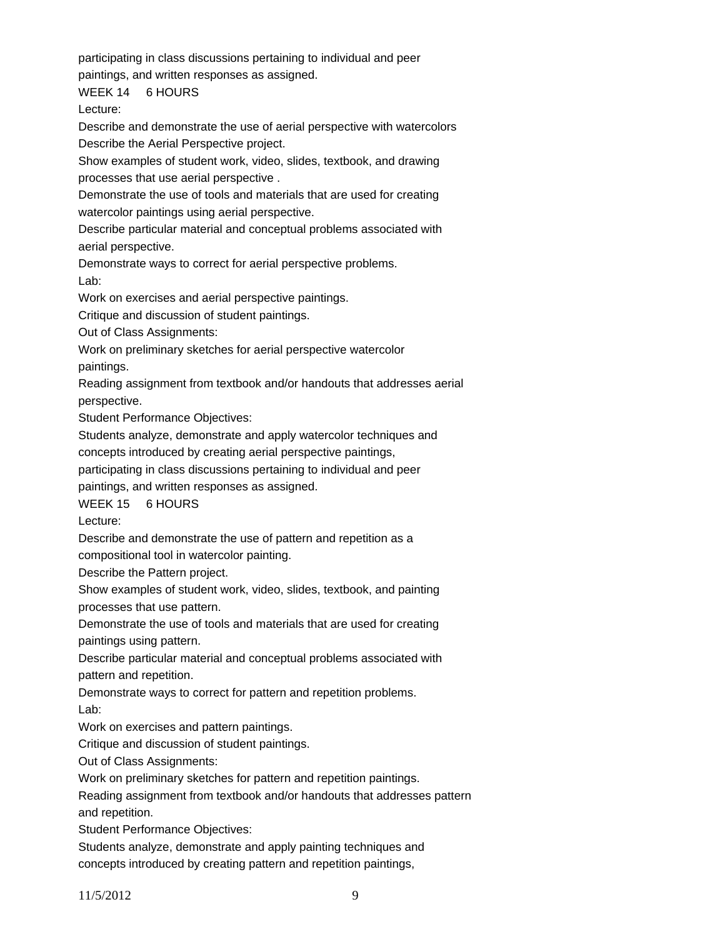participating in class discussions pertaining to individual and peer

paintings, and written responses as assigned.

WEEK 14 6 HOURS

Lecture:

Describe and demonstrate the use of aerial perspective with watercolors Describe the Aerial Perspective project.

Show examples of student work, video, slides, textbook, and drawing processes that use aerial perspective .

Demonstrate the use of tools and materials that are used for creating watercolor paintings using aerial perspective.

Describe particular material and conceptual problems associated with aerial perspective.

Demonstrate ways to correct for aerial perspective problems. Lab:

Work on exercises and aerial perspective paintings.

Critique and discussion of student paintings.

Out of Class Assignments:

Work on preliminary sketches for aerial perspective watercolor

paintings.

Reading assignment from textbook and/or handouts that addresses aerial perspective.

Student Performance Objectives:

Students analyze, demonstrate and apply watercolor techniques and

concepts introduced by creating aerial perspective paintings,

participating in class discussions pertaining to individual and peer

paintings, and written responses as assigned.

WEEK 15 6 HOURS

Lecture:

Describe and demonstrate the use of pattern and repetition as a

compositional tool in watercolor painting.

Describe the Pattern project.

Show examples of student work, video, slides, textbook, and painting processes that use pattern.

Demonstrate the use of tools and materials that are used for creating paintings using pattern.

Describe particular material and conceptual problems associated with pattern and repetition.

Demonstrate ways to correct for pattern and repetition problems.

Lab:

Work on exercises and pattern paintings.

Critique and discussion of student paintings.

Out of Class Assignments:

Work on preliminary sketches for pattern and repetition paintings.

Reading assignment from textbook and/or handouts that addresses pattern and repetition.

Student Performance Objectives:

Students analyze, demonstrate and apply painting techniques and concepts introduced by creating pattern and repetition paintings,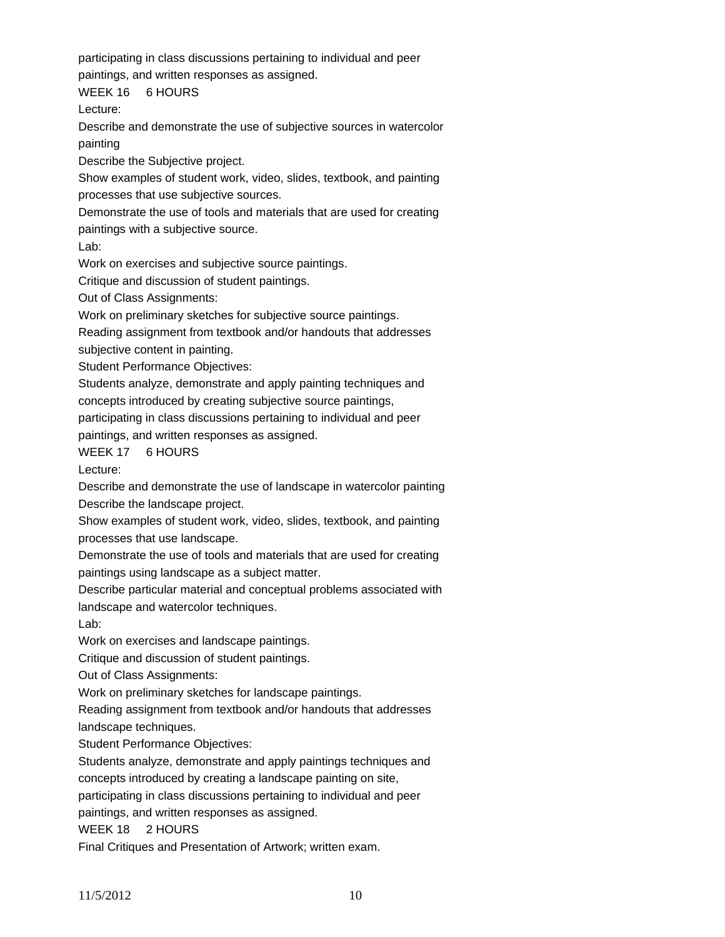participating in class discussions pertaining to individual and peer

paintings, and written responses as assigned.

WEEK 16 6 HOURS

Lecture:

Describe and demonstrate the use of subjective sources in watercolor painting

Describe the Subjective project.

Show examples of student work, video, slides, textbook, and painting processes that use subjective sources.

Demonstrate the use of tools and materials that are used for creating

paintings with a subjective source.

Lab:

Work on exercises and subjective source paintings.

Critique and discussion of student paintings.

Out of Class Assignments:

Work on preliminary sketches for subjective source paintings.

Reading assignment from textbook and/or handouts that addresses subjective content in painting.

Student Performance Objectives:

Students analyze, demonstrate and apply painting techniques and concepts introduced by creating subjective source paintings,

participating in class discussions pertaining to individual and peer

paintings, and written responses as assigned.

WEEK 17 6 HOURS

Lecture:

Describe and demonstrate the use of landscape in watercolor painting Describe the landscape project.

Show examples of student work, video, slides, textbook, and painting processes that use landscape.

Demonstrate the use of tools and materials that are used for creating paintings using landscape as a subject matter.

Describe particular material and conceptual problems associated with landscape and watercolor techniques.

Lab:

Work on exercises and landscape paintings.

Critique and discussion of student paintings.

Out of Class Assignments:

Work on preliminary sketches for landscape paintings.

Reading assignment from textbook and/or handouts that addresses landscape techniques.

Student Performance Objectives:

Students analyze, demonstrate and apply paintings techniques and concepts introduced by creating a landscape painting on site, participating in class discussions pertaining to individual and peer

paintings, and written responses as assigned.

WEEK 18 2 HOURS

Final Critiques and Presentation of Artwork; written exam.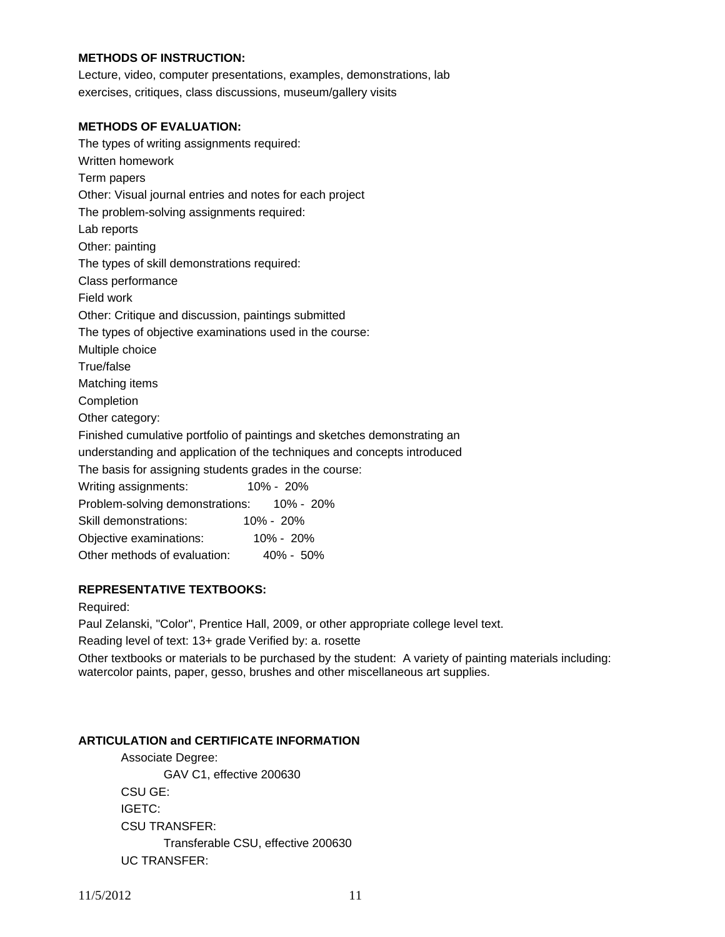# **METHODS OF INSTRUCTION:**

Lecture, video, computer presentations, examples, demonstrations, lab exercises, critiques, class discussions, museum/gallery visits

#### **METHODS OF EVALUATION:**

| The types of writing assignments required:                               |
|--------------------------------------------------------------------------|
| Written homework                                                         |
| Term papers                                                              |
| Other: Visual journal entries and notes for each project                 |
| The problem-solving assignments required:                                |
| Lab reports                                                              |
| Other: painting                                                          |
| The types of skill demonstrations required:                              |
| Class performance                                                        |
| Field work                                                               |
| Other: Critique and discussion, paintings submitted                      |
| The types of objective examinations used in the course:                  |
| Multiple choice                                                          |
| True/false                                                               |
| Matching items                                                           |
| Completion                                                               |
| Other category:                                                          |
| Finished cumulative portfolio of paintings and sketches demonstrating an |
| understanding and application of the techniques and concepts introduced  |
| The basis for assigning students grades in the course:                   |
| 10% - 20%<br>Writing assignments:                                        |
| Problem-solving demonstrations: 10% - 20%                                |
| Skill demonstrations:<br>10% - 20%                                       |
| Objective examinations: 10% - 20%                                        |
| Other methods of evaluation: 40% - 50%                                   |

## **REPRESENTATIVE TEXTBOOKS:**

Required:

Paul Zelanski, "Color", Prentice Hall, 2009, or other appropriate college level text.

Reading level of text: 13+ grade Verified by: a. rosette

Other textbooks or materials to be purchased by the student: A variety of painting materials including: watercolor paints, paper, gesso, brushes and other miscellaneous art supplies.

#### **ARTICULATION and CERTIFICATE INFORMATION**

 Transferable CSU, effective 200630 UC TRANSFER: Associate Degree: GAV C1, effective 200630 CSU GE: IGETC: CSU TRANSFER: